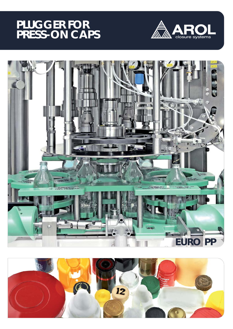## **PLUGGER FOR PRESS-ON CAPS**





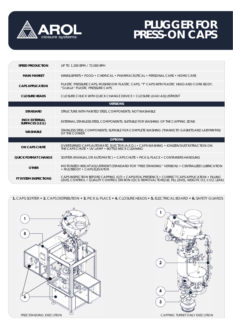

## **PLUGGER FOR PRESS-ON CAPS**

| <b>SPEED PRODUCTION</b>                   | UP TO 1.200 BPM / 72.000 BPH                                                                                                                                                                      |
|-------------------------------------------|---------------------------------------------------------------------------------------------------------------------------------------------------------------------------------------------------|
| <b>MAIN MARKET</b>                        | WINE&SPIRITS • FOOD • CHEMICAL • PHARMACEUTICAL • PERSONAL CARE • HOME CARE                                                                                                                       |
| <b>CAPS APPLICATION</b>                   | PLASTIC PRESSURE CAPS, MUSHROOM PLASTIC CAPS, "T" CAPS WITH PLASTIC HEAD AND CORK BODY,<br>"GUALA" PLASTIC PRESSURE CAPS                                                                          |
| <b>CLOSURE HEADS</b>                      | CLOSURE CHUCK WITH OUICK CHANGE DEVICE . CLOSURE LOAD ADJUSTMENT                                                                                                                                  |
|                                           | <b>VERSIONS</b>                                                                                                                                                                                   |
| <b>STANDARD</b>                           | STRUCTURE WITH PAINTED STEEL COMPONENTS. NOT WASHABLE                                                                                                                                             |
| <b>INOX EXTERNAL</b><br>SURFACES (I.E.S.) | EXTERNAL STAINLESS STEEL COMPONENTS. SUITABLE FOR WASHING OF THE CAPPING ZONE                                                                                                                     |
| <b>WASHABLE</b>                           | STAINLESS STEEL COMPONENTS. SUITABLE FOR COMPLETE WASHING (THANKS TO GASKETS AND LABYRINTHS)<br>OF THE CORKER                                                                                     |
|                                           | <b>OPTIONS</b>                                                                                                                                                                                    |
| <b>ON CAPS CHUTE</b>                      | OVERTURNED CAPS AUTOMATIC EJECTOR (A.E.D.) • CAPS WASHING • IONIZER/DUST EXTRACTION ON<br>THE CAPS CHUTE • UV LAMP • BOTTLE NECK CLEANING                                                         |
| <b>QUICK FORMAT CHANGE</b>                | SORTER (MANUAL OR AUTOMATIC) • CAPS CHUTE • PICK & PLACE • CONTAINERS HANDLING                                                                                                                    |
| <b>OTHER</b>                              | MOTORIZED HEIGHT ADJUSTMENT (STANDARD FOR "FREE STANDING" VERSION) • CENTRALIZED LUBRICATION<br>• MULTIBODY • CAPS ELEVATOR                                                                       |
| <b>FT SYSTEM INSPECTIONS</b>              | CAPS INSPECTION BEFORE CAPPING (QT) · CAPS/FOIL PRESENCE · CORRECT CAPS APPLICATION · FILLING<br>LEVEL CONTROL • QUALITY CONTROL STÁTION (QCS: REMOVAL TORQUE, FILL LEVEL, WEIGHT, O2, CO2, LEAK) |

**1.** CAPS SORTER **• 2.** CAPS DISTRIBUTION **• 3.** PICK & PLACE **• 4.** CLOSURE HEADS **• 5.** ELECTRICAL BOARD **• 6.** SAFETY GUARDS



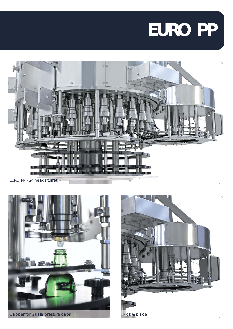# **EURO PP**